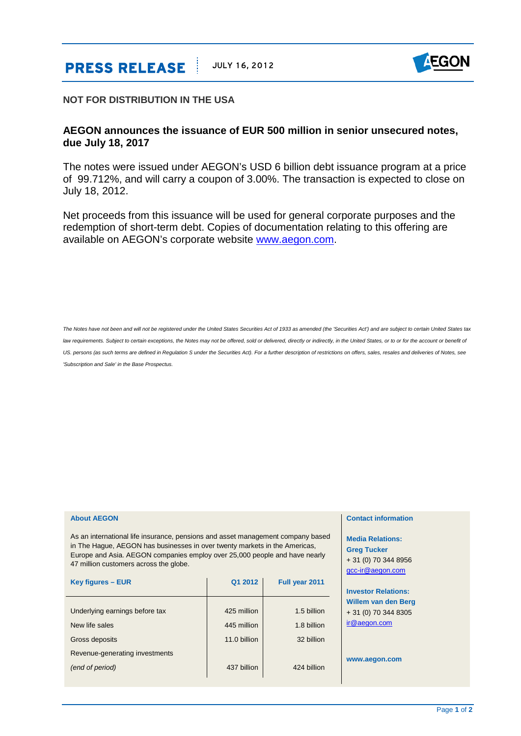# **PRESS RELEASE JULY 16, 2012**



## **NOT FOR DISTRIBUTION IN THE USA**

# **AEGON announces the issuance of EUR 500 million in senior unsecured notes, due July 18, 2017**

The notes were issued under AEGON's USD 6 billion debt issuance program at a price of 99.712%, and will carry a coupon of 3.00%. The transaction is expected to close on July 18, 2012.

Net proceeds from this issuance will be used for general corporate purposes and the redemption of short-term debt. Copies of documentation relating to this offering are available on AEGON's corporate website [www.aegon.com.](http://www.aegon.com/)

*The Notes have not been and will not be registered under the United States Securities Act of 1933 as amended (the 'Securities Act') and are subject to certain United States tax*  law requirements. Subject to certain exceptions, the Notes may not be offered, sold or delivered, directly or indirectly, in the United States, or to or for the account or benefit of US. persons (as such terms are defined in Regulation S under the Securities Act). For a further description of restrictions on offers, sales, resales and deliveries of Notes, see *'Subscription and Sale' in the Base Prospectus.*

### **About AEGON**

As an international life insurance, pensions and asset management company based in The Hague, AEGON has businesses in over twenty markets in the Americas, Europe and Asia. AEGON companies employ over 25,000 people and have nearly 47 million customers across the globe.

| Key figures - EUR              | Q1 2012      | Full year 2011 |
|--------------------------------|--------------|----------------|
|                                |              |                |
| Underlying earnings before tax | 425 million  | 1.5 billion    |
| New life sales                 | 445 million  | 1.8 billion    |
| Gross deposits                 | 11.0 billion | 32 billion     |
| Revenue-generating investments |              |                |
| (end of period)                | 437 billion  | 424 billion    |

## **Contact information**

**Media Relations: Greg Tucker** + 31 (0) 70 344 8956 [gcc-ir@aegon.com](mailto:gcc-ir@aegon.com)

**Investor Relations: Willem van den Berg** + 31 (0) 70 344 8305 [ir@aegon.com](mailto:ir@aegon.com)

**www.aegon.com**